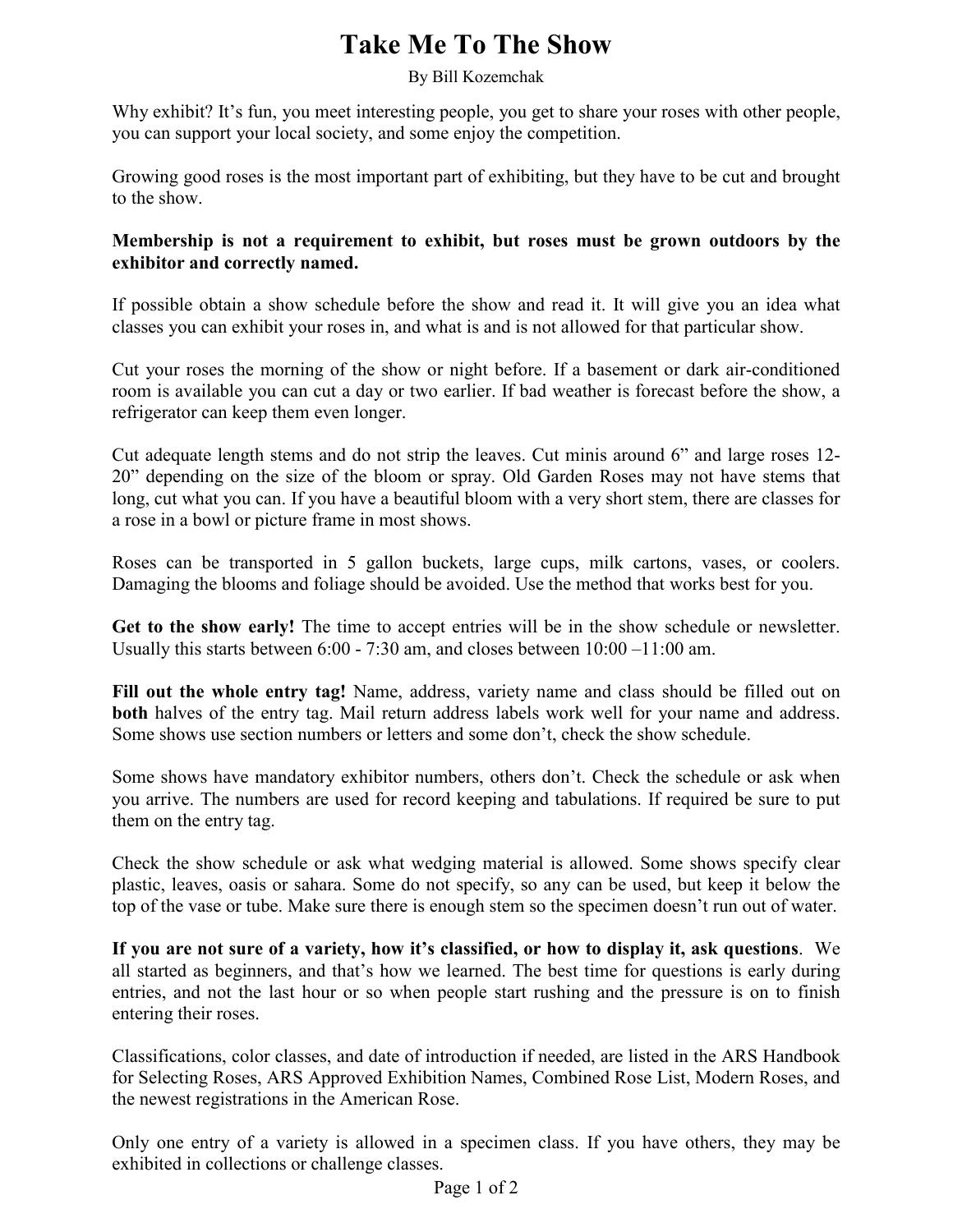## **Take Me To The Show**

## By Bill Kozemchak

Why exhibit? It's fun, you meet interesting people, you get to share your roses with other people, you can support your local society, and some enjoy the competition.

Growing good roses is the most important part of exhibiting, but they have to be cut and brought to the show.

## **Membership is not a requirement to exhibit, but roses must be grown outdoors by the exhibitor and correctly named.**

If possible obtain a show schedule before the show and read it. It will give you an idea what classes you can exhibit your roses in, and what is and is not allowed for that particular show.

Cut your roses the morning of the show or night before. If a basement or dark air-conditioned room is available you can cut a day or two earlier. If bad weather is forecast before the show, a refrigerator can keep them even longer.

Cut adequate length stems and do not strip the leaves. Cut minis around 6" and large roses 12- 20" depending on the size of the bloom or spray. Old Garden Roses may not have stems that long, cut what you can. If you have a beautiful bloom with a very short stem, there are classes for a rose in a bowl or picture frame in most shows.

Roses can be transported in 5 gallon buckets, large cups, milk cartons, vases, or coolers. Damaging the blooms and foliage should be avoided. Use the method that works best for you.

**Get to the show early!** The time to accept entries will be in the show schedule or newsletter. Usually this starts between 6:00 - 7:30 am, and closes between 10:00 –11:00 am.

Fill out the whole entry tag! Name, address, variety name and class should be filled out on **both** halves of the entry tag. Mail return address labels work well for your name and address. Some shows use section numbers or letters and some don't, check the show schedule.

Some shows have mandatory exhibitor numbers, others don't. Check the schedule or ask when you arrive. The numbers are used for record keeping and tabulations. If required be sure to put them on the entry tag.

Check the show schedule or ask what wedging material is allowed. Some shows specify clear plastic, leaves, oasis or sahara. Some do not specify, so any can be used, but keep it below the top of the vase or tube. Make sure there is enough stem so the specimen doesn't run out of water.

**If you are not sure of a variety, how it's classified, or how to display it, ask questions**. We all started as beginners, and that's how we learned. The best time for questions is early during entries, and not the last hour or so when people start rushing and the pressure is on to finish entering their roses.

Classifications, color classes, and date of introduction if needed, are listed in the ARS Handbook for Selecting Roses, ARS Approved Exhibition Names, Combined Rose List, Modern Roses, and the newest registrations in the American Rose.

Only one entry of a variety is allowed in a specimen class. If you have others, they may be exhibited in collections or challenge classes.